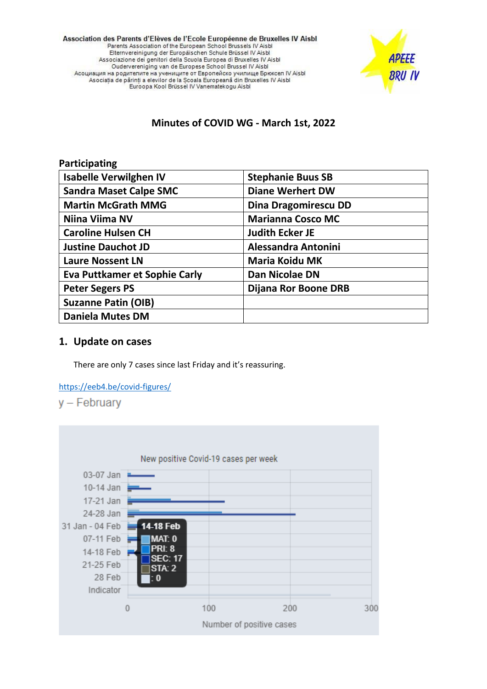Association des Parents d'Elèves de l'Ecole Européenne de Bruxelles IV Aisbl Parents Association of the European School Brussels IV Aisbl Elternvereinigung der Europäischen Schule Brüssel IV Aisbl Associazione dei genitori della Scuola Europea di Bruxelles IV Aisbl Oudervereniging van de Europese School Brussel IV Aisbl Асоциация на родителите на учениците от Европейско училище Брюксел IV Aisbl Asociația de părinți a elevilor de la Școala Europeană din Bruxelles IV Aisbl Euroopa Kool Brüssel IV Vanematekogu Aisbl



# **Minutes of COVID WG - March 1st, 2022**

| Participating                        |                             |
|--------------------------------------|-----------------------------|
| <b>Isabelle Verwilghen IV</b>        | <b>Stephanie Buus SB</b>    |
| <b>Sandra Maset Calpe SMC</b>        | <b>Diane Werhert DW</b>     |
| <b>Martin McGrath MMG</b>            | <b>Dina Dragomirescu DD</b> |
| Niina Viima NV                       | <b>Marianna Cosco MC</b>    |
| <b>Caroline Hulsen CH</b>            | <b>Judith Ecker JE</b>      |
| <b>Justine Dauchot JD</b>            | <b>Alessandra Antonini</b>  |
| <b>Laure Nossent LN</b>              | <b>Maria Koidu MK</b>       |
| <b>Eva Puttkamer et Sophie Carly</b> | Dan Nicolae DN              |
| <b>Peter Segers PS</b>               | Dijana Ror Boone DRB        |
| <b>Suzanne Patin (OIB)</b>           |                             |
| <b>Daniela Mutes DM</b>              |                             |

### **1. Update on cases**

There are only 7 cases since last Friday and it's reassuring.

<https://eeb4.be/covid-figures/>



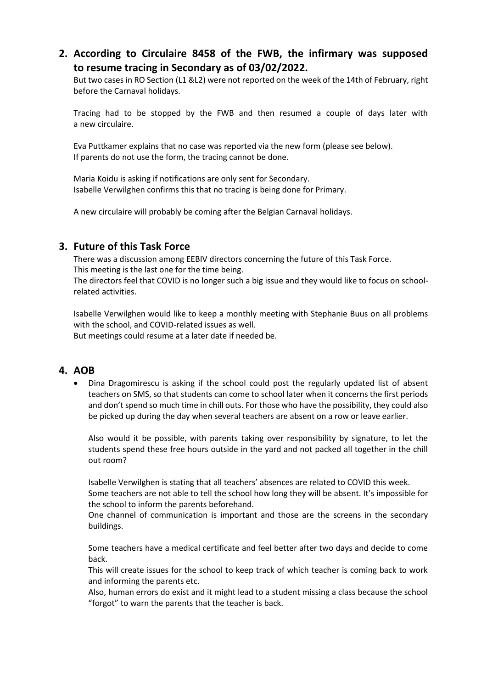# **2. According to Circulaire 8458 of the FWB, the infirmary was supposed to resume tracing in Secondary as of 03/02/2022.**

But two cases in RO Section (L1 &L2) were not reported on the week of the 14th of February, right before the Carnaval holidays.

Tracing had to be stopped by the FWB and then resumed a couple of days later with a new circulaire.

Eva Puttkamer explains that no case was reported via the new form (please see below). If parents do not use the form, the tracing cannot be done.

Maria Koidu is asking if notifications are only sent for Secondary. Isabelle Verwilghen confirms this that no tracing is being done for Primary.

A new circulaire will probably be coming after the Belgian Carnaval holidays.

### **3. Future of this Task Force**

There was a discussion among EEBIV directors concerning the future of this Task Force. This meeting is the last one for the time being.

The directors feel that COVID is no longer such a big issue and they would like to focus on schoolrelated activities.

Isabelle Verwilghen would like to keep a monthly meeting with Stephanie Buus on all problems with the school, and COVID-related issues as well.

But meetings could resume at a later date if needed be.

#### **4. AOB**

• Dina Dragomirescu is asking if the school could post the regularly updated list of absent teachers on SMS, so that students can come to school later when it concerns the first periods and don't spend so much time in chill outs. For those who have the possibility, they could also be picked up during the day when several teachers are absent on a row or leave earlier.

Also would it be possible, with parents taking over responsibility by signature, to let the students spend these free hours outside in the yard and not packed all together in the chill out room?

Isabelle Verwilghen is stating that all teachers' absences are related to COVID this week.

Some teachers are not able to tell the school how long they will be absent. It's impossible for the school to inform the parents beforehand.

One channel of communication is important and those are the screens in the secondary buildings.

Some teachers have a medical certificate and feel better after two days and decide to come back.

This will create issues for the school to keep track of which teacher is coming back to work and informing the parents etc.

Also, human errors do exist and it might lead to a student missing a class because the school "forgot" to warn the parents that the teacher is back.